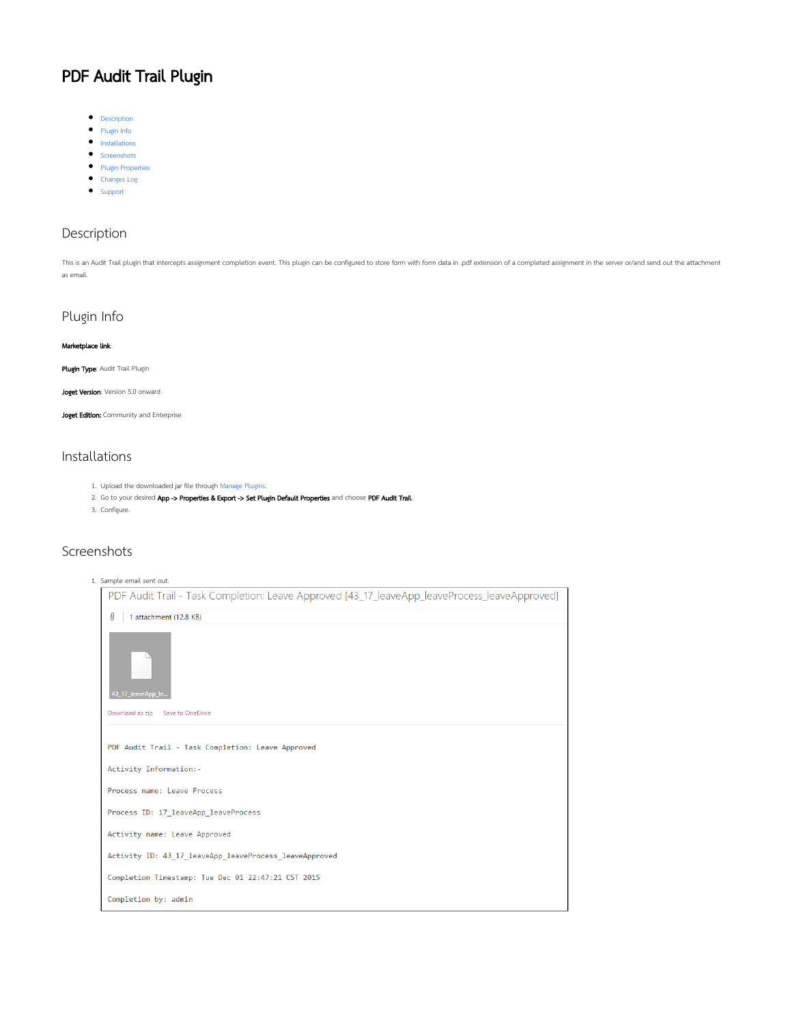# PDF Audit Trail Plugin

- **•** [Description](#page-0-0)
- [Plugin Info](#page-0-1)
- $\bullet$  [Installations](#page-0-2)
- $\bullet$  [Screenshots](#page-0-3)
- **•** [Plugin Properties](#page-1-0)
- [Changes Log](#page-6-0)
- $\bullet$  [Support](#page-6-1)

### <span id="page-0-0"></span>Description

This is an Audit Trail plugin that intercepts assignment completion event. This plugin can be configured to store form with form data in .pdf extension of a completed assignment in the server or/and send out the attachment as email.

### <span id="page-0-1"></span>Plugin Info

#### Marketplace link:

Plugin Type: Audit Trail Plugin

Joget Version: Version 5.0 onward

Joget Edition: Community and Enterprise

### <span id="page-0-2"></span>Installations

- 1. Upload the downloaded jar file through [Manage Plugins.](https://dev.joget.org/community/display/KBv6/Manage+Plugins)
- 2. Go to your desired App -> Properties & Export -> Set Plugin Default Properties and choose PDF Audit Trail.
- 3. Configure.

### <span id="page-0-3"></span>Screenshots

| 1. Sample email sent out.                                                                     |
|-----------------------------------------------------------------------------------------------|
| PDF Audit Trail - Task Completion: Leave Approved [43_17_leaveApp_leaveProcess_leaveApproved] |
| 1 attachment (12.8 KB)                                                                        |
| 43_17_leaveApp_le                                                                             |
| Download as zip Save to OneDrive                                                              |
| PDF Audit Trail - Task Completion: Leave Approved                                             |
| Activity Information:-                                                                        |
| Process name: Leave Process                                                                   |
| Process ID: 17 leaveApp leaveProcess                                                          |
| Activity name: Leave Approved                                                                 |
| Activity ID: 43 17 leaveApp leaveProcess leaveApproved                                        |
| Completion Timestamp: Tue Dec 01 22:47:21 CST 2015                                            |
| Completion by: admin                                                                          |
|                                                                                               |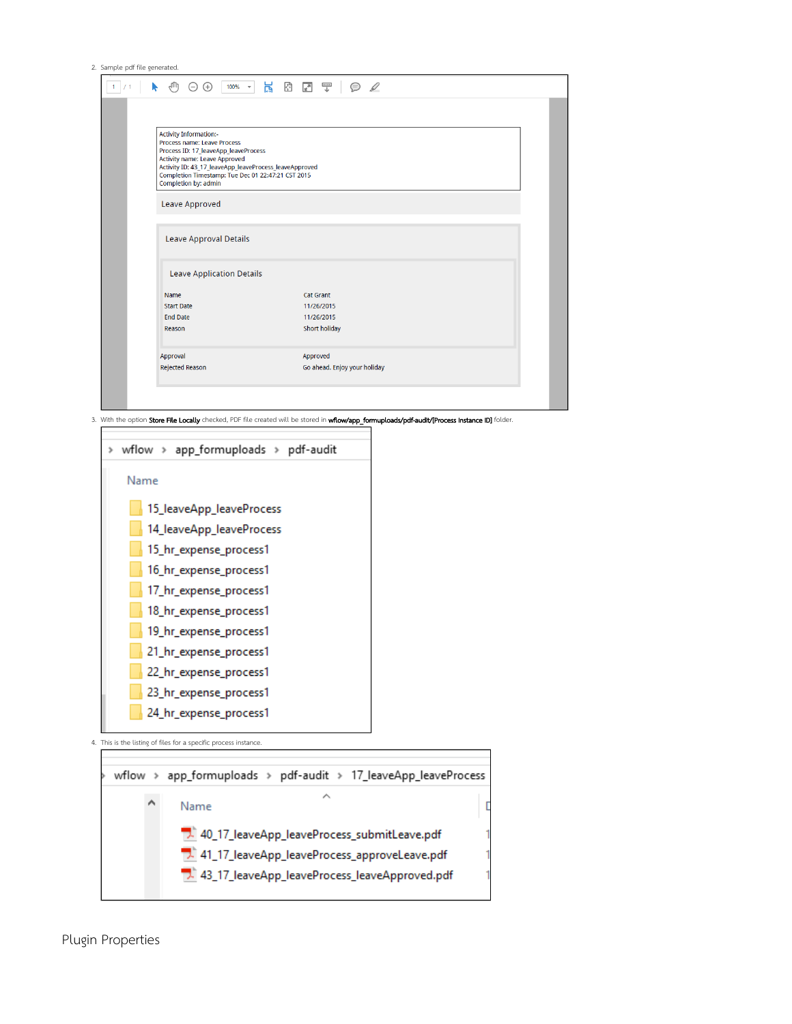| ηM<br>$\bigoplus$<br>$100\%$ $\sim$<br>⊝                                                                                                                                                                                                                                      | <b>RENE</b><br>$\odot$ 0     |
|-------------------------------------------------------------------------------------------------------------------------------------------------------------------------------------------------------------------------------------------------------------------------------|------------------------------|
| <b>Activity Information:-</b><br>Process name: Leave Process<br>Process ID: 17_leaveApp_leaveProcess<br>Activity name: Leave Approved<br>Activity ID: 43_17_leaveApp_leaveProcess_leaveApproved<br>Completion Timestamp: Tue Dec 01 22:47:21 CST 2015<br>Completion by: admin |                              |
| <b>Leave Approved</b>                                                                                                                                                                                                                                                         |                              |
| <b>Leave Approval Details</b>                                                                                                                                                                                                                                                 |                              |
| <b>Leave Application Details</b>                                                                                                                                                                                                                                              |                              |
| Name                                                                                                                                                                                                                                                                          | <b>Cat Grant</b>             |
| <b>Start Date</b>                                                                                                                                                                                                                                                             | 11/26/2015                   |
| <b>End Date</b>                                                                                                                                                                                                                                                               | 11/26/2015                   |
| Reason                                                                                                                                                                                                                                                                        | <b>Short holiday</b>         |
| Approval                                                                                                                                                                                                                                                                      | Approved                     |
| <b>Rejected Reason</b>                                                                                                                                                                                                                                                        | Go ahead. Enjoy your holiday |
|                                                                                                                                                                                                                                                                               |                              |

3. With the option Store File Locally checked, PDF file created will be stored in wflow/app\_formuploads/pdf-audit/[Process Instance ID] folder. ٦

| Name                     |  |
|--------------------------|--|
| 15_leaveApp_leaveProcess |  |
| 14_leaveApp_leaveProcess |  |
| 15_hr_expense_process1   |  |
| 16_hr_expense_process1   |  |
| 17_hr_expense_process1   |  |
| 18_hr_expense_process1   |  |
| 19_hr_expense_process1   |  |
| 21_hr_expense_process1   |  |
| 22_hr_expense_process1   |  |
| 23_hr_expense_process1   |  |
| 24 hr expense process1   |  |

<span id="page-1-0"></span>

4.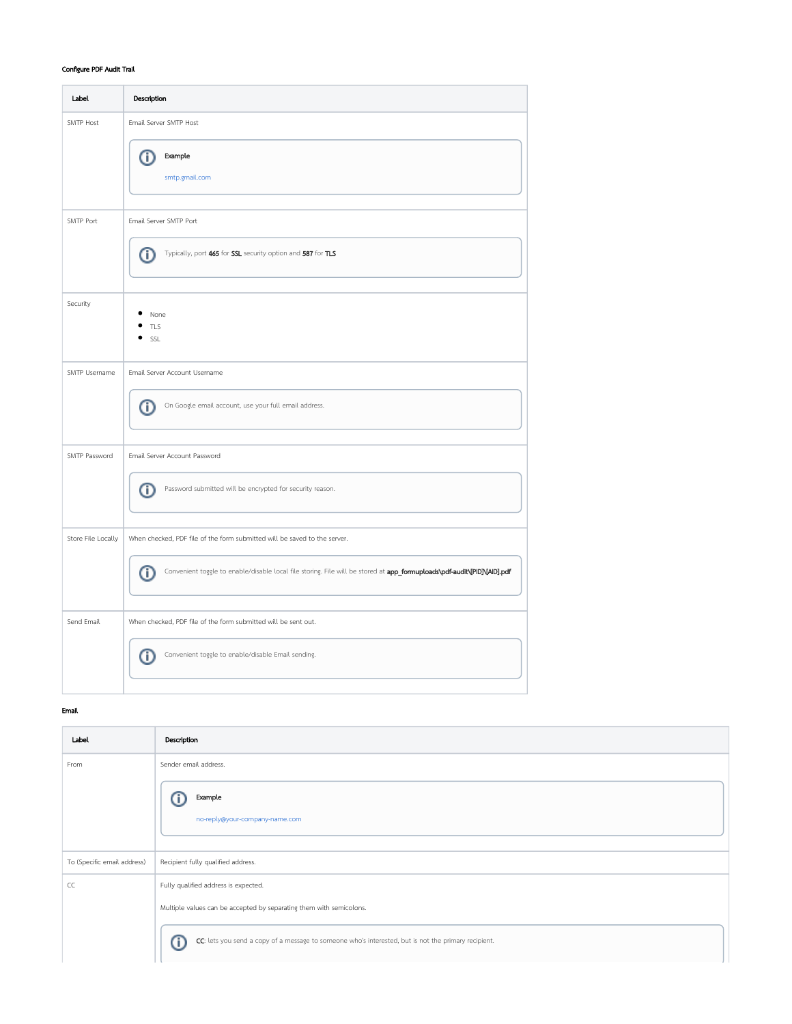#### Configure PDF Audit Trail

| Label              | Description                                                                                                                   |
|--------------------|-------------------------------------------------------------------------------------------------------------------------------|
| SMTP Host          | Email Server SMTP Host                                                                                                        |
|                    | Example<br>Œ                                                                                                                  |
|                    | smtp.gmail.com                                                                                                                |
| SMTP Port          | Email Server SMTP Port                                                                                                        |
|                    | Typically, port 465 for SSL security option and 587 for TLS<br>Œ                                                              |
| Security           | None                                                                                                                          |
|                    | TLS<br>SSL                                                                                                                    |
| SMTP Username      | Email Server Account Username                                                                                                 |
|                    | On Google email account, use your full email address.<br>⊕                                                                    |
| SMTP Password      | Email Server Account Password                                                                                                 |
|                    | Œ<br>Password submitted will be encrypted for security reason.                                                                |
| Store File Locally | When checked, PDF file of the form submitted will be saved to the server.                                                     |
|                    | Convenient toggle to enable/disable local file storing. File will be stored at app_formuploads\pdf-audit\[PID]\DAD].pdf<br>G) |
| Send Email         | When checked, PDF file of the form submitted will be sent out.                                                                |
|                    | Convenient toggle to enable/disable Email sending.<br>Œ                                                                       |

#### Email

| Label.                      | Description                                                                                               |
|-----------------------------|-----------------------------------------------------------------------------------------------------------|
| From                        | Sender email address.                                                                                     |
|                             | Example<br>⊕<br>no-reply@your-company-name.com                                                            |
|                             |                                                                                                           |
| To (Specific email address) | Recipient fully qualified address.                                                                        |
| CC                          | Fully qualified address is expected.                                                                      |
|                             | Multiple values can be accepted by separating them with semicolons.                                       |
|                             | ⋒<br>CC: lets you send a copy of a message to someone who's interested, but is not the primary recipient. |

r.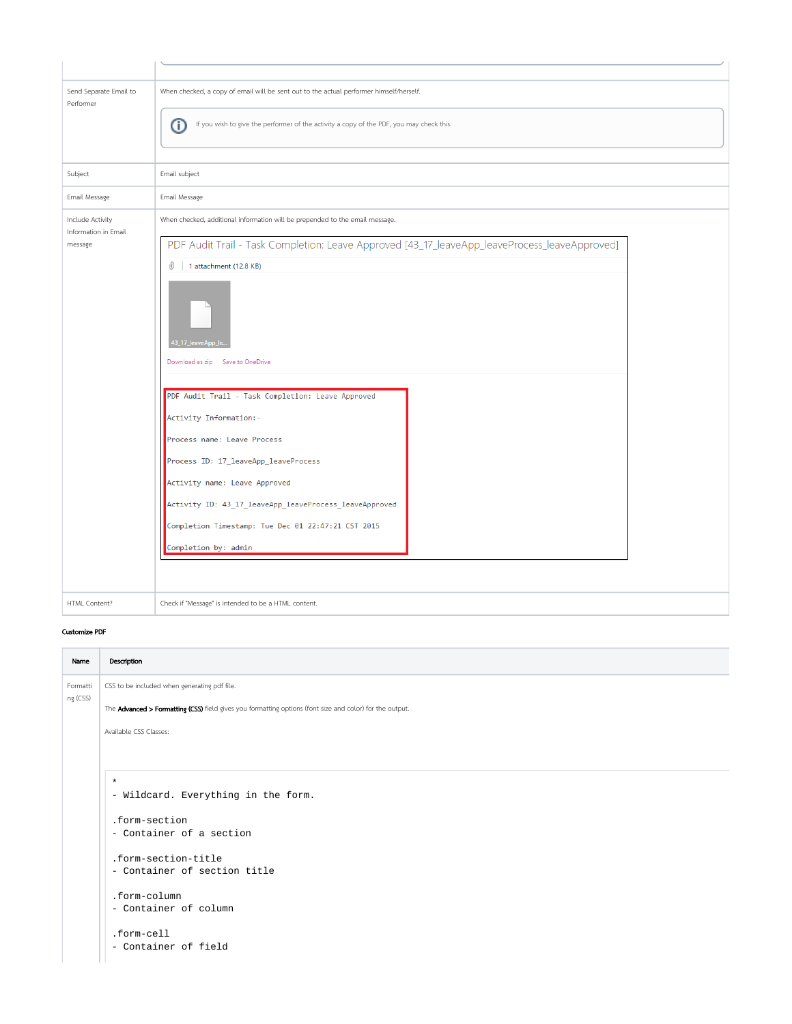| Send Separate Email to<br>Performer      | When checked, a copy of email will be sent out to the actual performer himself/herself.       |  |  |
|------------------------------------------|-----------------------------------------------------------------------------------------------|--|--|
|                                          | If you wish to give the performer of the activity a copy of the PDF, you may check this.<br>⊕ |  |  |
|                                          |                                                                                               |  |  |
| Subject                                  | Email subject                                                                                 |  |  |
| Email Message                            | Email Message                                                                                 |  |  |
| Include Activity<br>Information in Email | When checked, additional information will be prepended to the email message.                  |  |  |
| message                                  | PDF Audit Trail - Task Completion: Leave Approved [43_17_leaveApp_leaveProcess_leaveApproved] |  |  |
|                                          | Ū<br>1 attachment (12.8 KB)                                                                   |  |  |
|                                          | 43_17_leaveApp_le.                                                                            |  |  |
|                                          | Download as zip Save to OneDrive                                                              |  |  |
|                                          | PDF Audit Trail - Task Completion: Leave Approved                                             |  |  |
|                                          | Activity Information:-                                                                        |  |  |
|                                          | Process name: Leave Process                                                                   |  |  |
|                                          | Process ID: 17_leaveApp_leaveProcess                                                          |  |  |
|                                          | Activity name: Leave Approved                                                                 |  |  |
|                                          | Activity ID: 43_17_leaveApp_leaveProcess_leaveApproved                                        |  |  |
|                                          | Completion Timestamp: Tue Dec 01 22:47:21 CST 2015                                            |  |  |
|                                          | Completion by: admin                                                                          |  |  |
|                                          |                                                                                               |  |  |
| HTML Content?                            | Check if "Message" is intended to be a HTML content.                                          |  |  |

#### Customize PDF

| Name                 | Description                                                                                              |
|----------------------|----------------------------------------------------------------------------------------------------------|
| Formatti<br>ng (CSS) | CSS to be included when generating pdf file.                                                             |
|                      | The Advanced > Formatting (CSS) field gives you formatting options (font size and color) for the output. |
|                      | Available CSS Classes:                                                                                   |
|                      |                                                                                                          |
|                      | $\star$                                                                                                  |
|                      | - Wildcard. Everything in the form.                                                                      |
|                      | .form-section                                                                                            |
|                      | - Container of a section                                                                                 |
|                      | .form-section-title                                                                                      |
|                      | - Container of section title                                                                             |
|                      | .form-column                                                                                             |
|                      | - Container of column                                                                                    |
|                      | .form-cell                                                                                               |
|                      | - Container of field                                                                                     |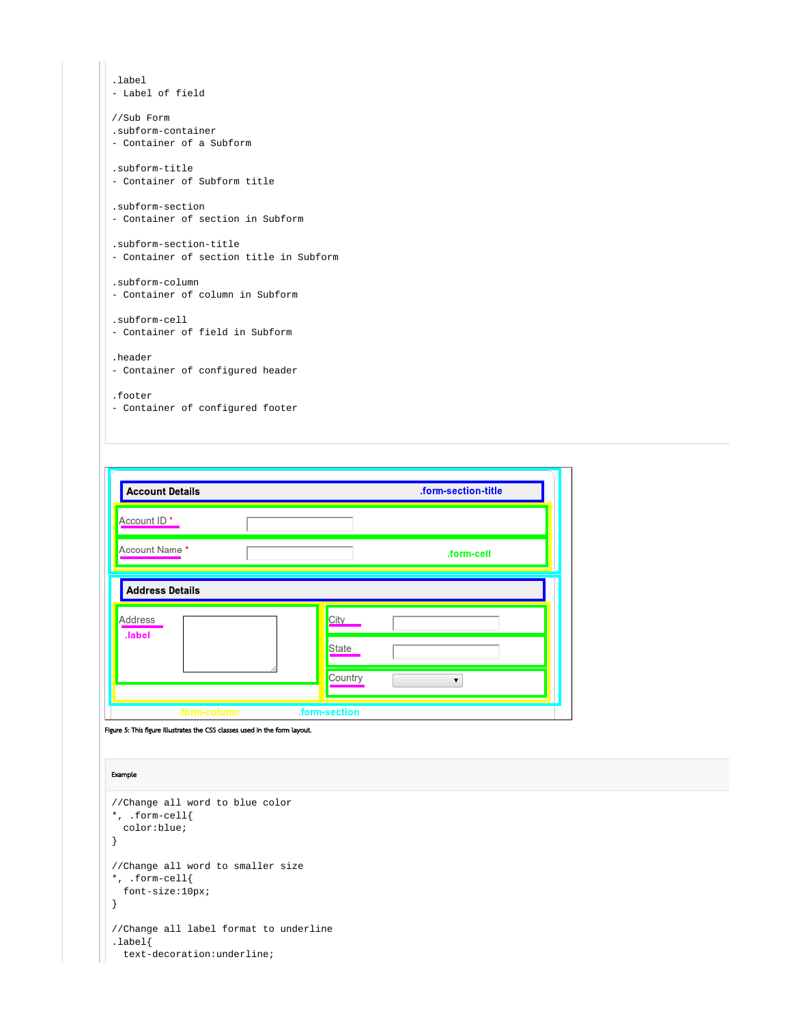```
.label
- Label of field
//Sub Form
.subform-container
- Container of a Subform
.subform-title
- Container of Subform title
.subform-section
- Container of section in Subform
.subform-section-title
- Container of section title in Subform
.subform-column
- Container of column in Subform
.subform-cell
- Container of field in Subform
.header
- Container of configured header
.footer
- Container of configured footer
```

```
Account Details
                                                                         .form-section-title
Account ID<sup>*</sup>
Account Name*
                                                                                 form-cell
 Address Details
Address
                                                   City
 .label
                                                   State
                                                   Country
                                                                                  \pmb{\mathbf{v}}.form-column
                                            .form-section
```
Figure 5: This figure illustrates the CSS classes used in the form layout.

#### Example

```
//Change all word to blue color
*, .form-cell{
  color:blue;
}
//Change all word to smaller size
*, .form-cell{
   font-size:10px;
}
//Change all label format to underline
.label{
   text-decoration:underline;
```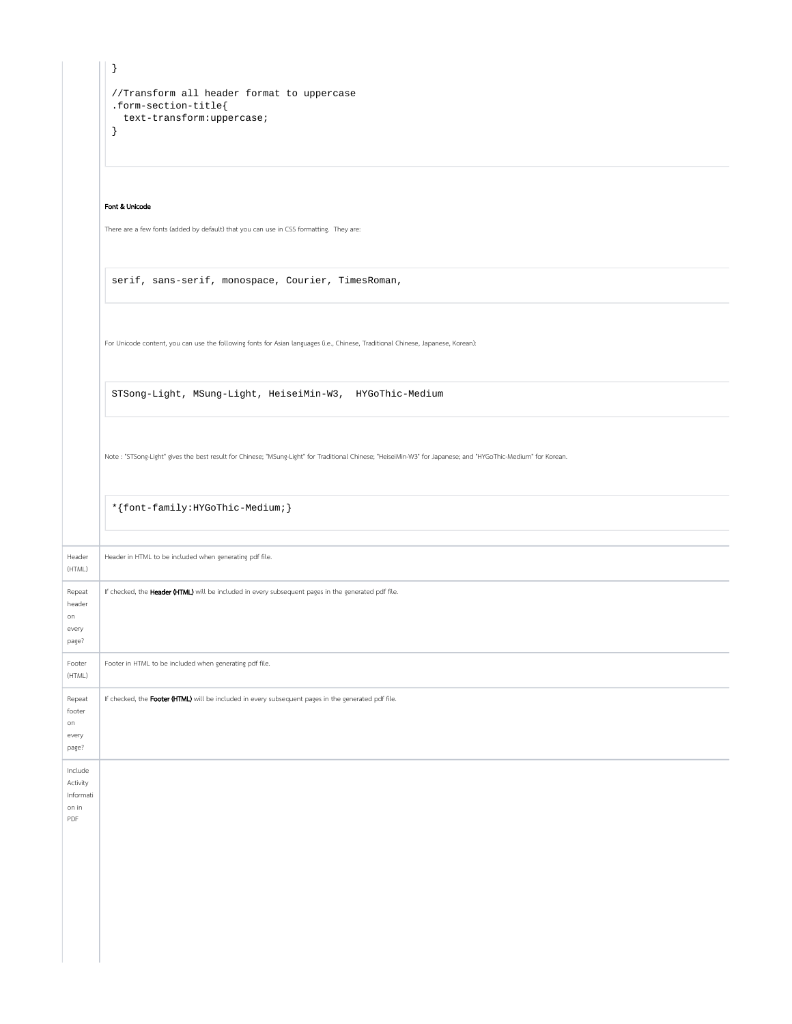|                                                  | $\}$<br>//Transform all header format to uppercase<br>.form-section-title{<br>text-transform:uppercase;<br>}<br>Font & Unicode                                 |
|--------------------------------------------------|----------------------------------------------------------------------------------------------------------------------------------------------------------------|
|                                                  | There are a few fonts (added by default) that you can use in CSS formatting. They are:                                                                         |
|                                                  | serif, sans-serif, monospace, Courier, TimesRoman,                                                                                                             |
|                                                  | For Unicode content, you can use the following fonts for Asian languages (i.e., Chinese, Traditional Chinese, Japanese, Korean):                               |
|                                                  | STSong-Light, MSung-Light, HeiseiMin-W3, HYGoThic-Medium                                                                                                       |
|                                                  | Note : "STSong-Light" gives the best result for Chinese; "MSung-Light" for Traditional Chinese; "HeiseiMin-W3" for Japanese; and "HYGoThic-Medium" for Korean. |
|                                                  | *{font-family:HYGoThic-Medium;}                                                                                                                                |
| Header<br>(HTML)                                 | Header in HTML to be included when generating pdf file.                                                                                                        |
| Repeat<br>header<br>on<br>every<br>page?         | If checked, the Header (HTML) will be included in every subsequent pages in the generated pdf file.                                                            |
| Footer<br>(HTML)                                 | Footer in HTML to be included when generating pdf file.                                                                                                        |
| Repeat<br>footer<br>on<br>every<br>page?         | If checked, the Footer (HTML) will be included in every subsequent pages in the generated pdf file.                                                            |
| Include<br>Activity<br>Informati<br>on in<br>PDF |                                                                                                                                                                |